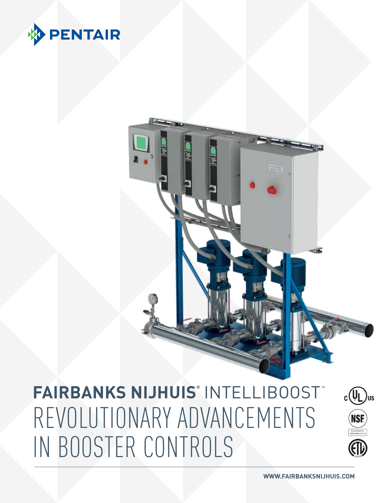



**FAIRBANKS NIJHUIS® INTELLIBOOST®** REVOLUTIONARY ADVANCEMENTS IN BOOSTER CONTROLS

Certified to NSF/ANSI 61-G

印

 $c(U_L)$ us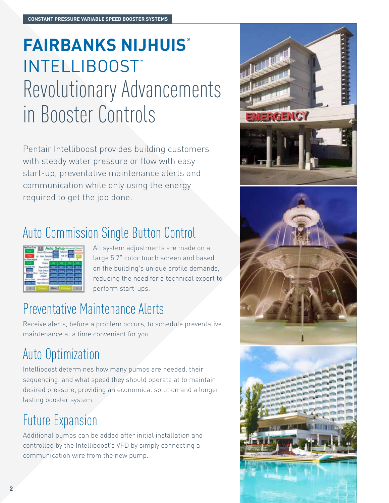### **FAIRBANKS NIJHUIS®** INTELLIBOOST™ Revolutionary Advancements in Booster Controls

Pentair Intelliboost provides building customers with steady water pressure or flow with easy start-up, preventative maintenance alerts and communication while only using the energy required to get the job done.

### Auto Commission Single Button Control

| in Firm | do Setu |  |  |
|---------|---------|--|--|
|         |         |  |  |
|         |         |  |  |
|         |         |  |  |
|         |         |  |  |

All system adjustments are made on a large 5.7" color touch screen and based on the building's unique profile demands, reducing the need for a technical expert to perform start-ups.

### Preventative Maintenance Alerts

Receive alerts, before a problem occurs, to schedule preventative maintenance at a time convenient for you.

### Auto Optimization

Intelliboost determines how many pumps are needed, their sequencing, and what speed they should operate at to maintain desired pressure, providing an economical solution and a longer lasting booster system.

### Future Expansion

Additional pumps can be added after initial installation and controlled by the Intelliboost's VFD by simply connecting a communication wire from the new pump.

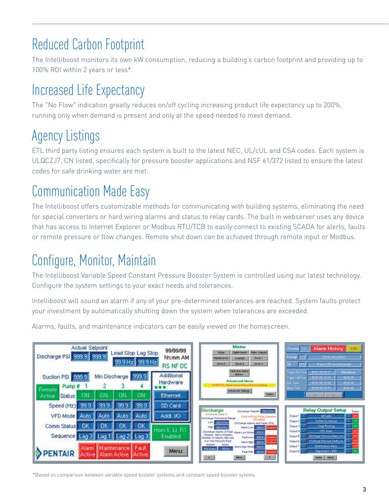#### Reduced Carbon Footprint

The Intelliboost monitors its own kW consumption, reducing a building's carbon footprint and providing up to 100% ROI within 2 years or less\*.

### Increased Life Expectancy

The "No Flow" indication greatly reduces on/off cycling increasing product life expectancy up to 200%, running only when demand is present and only at the speed needed to meet demand.

### Agency Listings

ETL third party listing ensures each system is built to the latest NEC, UL/cUL and CSA codes. Each system is ULQCZJ7, CN listed, specifically for pressure booster applications and NSF 61/372 listed to ensure the latest codes for safe drinking water are met.

### Communication Made Easy

The Intelliboost offers customizable methods for communicating with building systems, eliminating the need for special converters or hard wiring alarms and status to relay cards. The built in webserver uses any device that has access to Internet Explorer or Modbus RTU/TCB to easily connect to existing SCADA for alerts, faults or remote pressure or flow changes. Remote shut down can be achieved through remote input or Modbus.

### Configure, Monitor, Maintain

The Intelliboost Variable Speed Constant Pressure Booster System is controlled using our latest technology. Configure the system settings to your exact needs and tolerances.

Intelliboost will sound an alarm if any of your pre-determined tolerances are reached. System faults protect your investment by automatically shutting down the system when tolerances are exceeded.



Alarms, faults, and maintenance indicators can be easily viewed on the homescreen.

\*Based on comparison between variable speed booster systems and constant speed booster sytems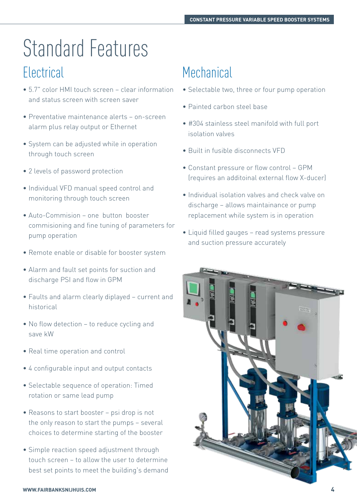# Standard Features

- 5.7" color HMI touch screen clear information and status screen with screen saver
- Preventative maintenance alerts on-screen alarm plus relay output or Ethernet
- System can be adjusted while in operation through touch screen
- 2 levels of password protection
- Individual VFD manual speed control and monitoring through touch screen
- Auto-Commision one button booster commisioning and fine tuning of parameters for pump operation
- Remote enable or disable for booster system
- Alarm and fault set points for suction and discharge PSI and flow in GPM
- Faults and alarm clearly diplayed current and historical
- No flow detection to reduce cycling and save kW
- Real time operation and control
- 4 configurable input and output contacts
- Selectable sequence of operation: Timed rotation or same lead pump
- Reasons to start booster psi drop is not the only reason to start the pumps – several choices to determine starting of the booster
- Simple reaction speed adjustment through touch screen – to allow the user to determine best set points to meet the building's demand

#### Electrical Mechanical

- Selectable two, three or four pump operation
- Painted carbon steel base
- #304 stainless steel manifold with full port isolation valves
- Built in fusible disconnects VFD
- Constant pressure or flow control GPM (requires an additoinal external flow X-ducer)
- Individual isolation valves and check valve on discharge – allows maintainance or pump replacement while system is in operation
- Liquid filled gauges read systems pressure and suction pressure accurately



#### **WWW.FAIRBANKSNIJHUIS.COM 4**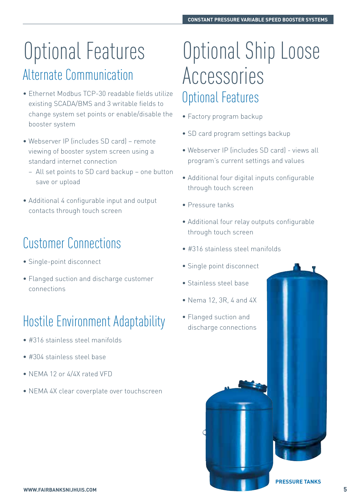# Alternate Communication

- Ethernet Modbus TCP-30 readable fields utilize existing SCADA/BMS and 3 writable fields to change system set points or enable/disable the booster system
- Webserver IP (includes SD card) remote viewing of booster system screen using a standard internet connection
	- All set points to SD card backup one button save or upload
- Additional 4 configurable input and output contacts through touch screen

### Customer Connections

- Single-point disconnect
- Flanged suction and discharge customer connections

### Hostile Environment Adaptability

- #316 stainless steel manifolds
- #304 stainless steel base
- NFMA 12 or 4/4X rated VFD
- NEMA 4X clear coverplate over touchscreen

### Optional Features Optional Features Optional Ship Loose Accessories

- Factory program backup
- SD card program settings backup
- Webserver IP (includes SD card) views all program's current settings and values
- Additional four digital inputs configurable through touch screen
- Pressure tanks
- Additional four relay outputs configurable through touch screen
- #316 stainless steel manifolds
- Single point disconnect
- Stainless steel base
- Nema 12, 3R, 4 and 4X
- Flanged suction and discharge connections

**PRESSURE TANKS**